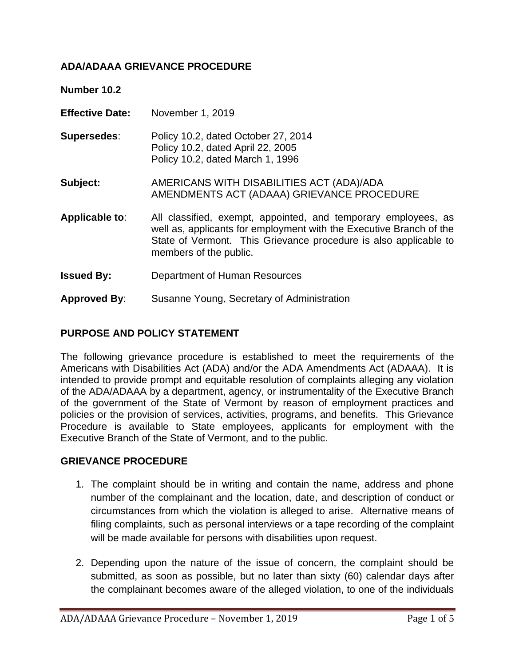# **ADA/ADAAA GRIEVANCE PROCEDURE**

**Number 10.2**

- **Effective Date:** November 1, 2019
- **Supersedes**: Policy 10.2, dated October 27, 2014 Policy 10.2, dated April 22, 2005 Policy 10.2, dated March 1, 1996
- **Subject:** AMERICANS WITH DISABILITIES ACT (ADA)/ADA AMENDMENTS ACT (ADAAA) GRIEVANCE PROCEDURE
- **Applicable to**: All classified, exempt, appointed, and temporary employees, as well as, applicants for employment with the Executive Branch of the State of Vermont. This Grievance procedure is also applicable to members of the public.
- **Issued By:** Department of Human Resources
- **Approved By**: Susanne Young, Secretary of Administration

# **PURPOSE AND POLICY STATEMENT**

The following grievance procedure is established to meet the requirements of the Americans with Disabilities Act (ADA) and/or the ADA Amendments Act (ADAAA). It is intended to provide prompt and equitable resolution of complaints alleging any violation of the ADA/ADAAA by a department, agency, or instrumentality of the Executive Branch of the government of the State of Vermont by reason of employment practices and policies or the provision of services, activities, programs, and benefits. This Grievance Procedure is available to State employees, applicants for employment with the Executive Branch of the State of Vermont, and to the public.

#### **GRIEVANCE PROCEDURE**

- 1. The complaint should be in writing and contain the name, address and phone number of the complainant and the location, date, and description of conduct or circumstances from which the violation is alleged to arise. Alternative means of filing complaints, such as personal interviews or a tape recording of the complaint will be made available for persons with disabilities upon request.
- 2. Depending upon the nature of the issue of concern, the complaint should be submitted, as soon as possible, but no later than sixty (60) calendar days after the complainant becomes aware of the alleged violation, to one of the individuals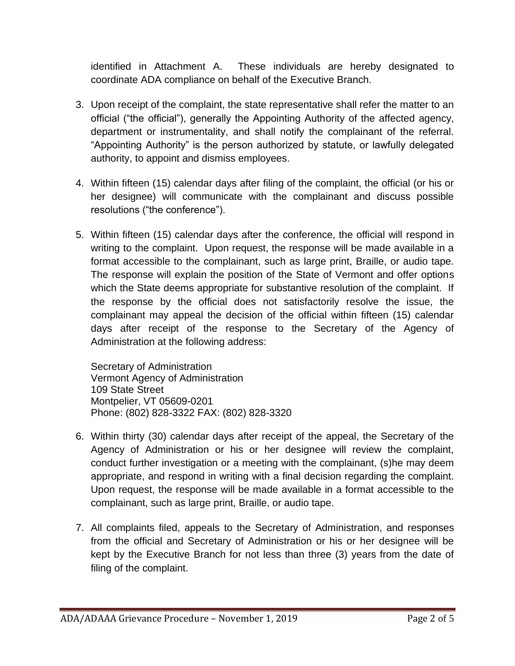identified in Attachment A. These individuals are hereby designated to coordinate ADA compliance on behalf of the Executive Branch.

- 3. Upon receipt of the complaint, the state representative shall refer the matter to an official ("the official"), generally the Appointing Authority of the affected agency, department or instrumentality, and shall notify the complainant of the referral. "Appointing Authority" is the person authorized by statute, or lawfully delegated authority, to appoint and dismiss employees.
- 4. Within fifteen (15) calendar days after filing of the complaint, the official (or his or her designee) will communicate with the complainant and discuss possible resolutions ("the conference").
- 5. Within fifteen (15) calendar days after the conference, the official will respond in writing to the complaint. Upon request, the response will be made available in a format accessible to the complainant, such as large print, Braille, or audio tape. The response will explain the position of the State of Vermont and offer options which the State deems appropriate for substantive resolution of the complaint. If the response by the official does not satisfactorily resolve the issue, the complainant may appeal the decision of the official within fifteen (15) calendar days after receipt of the response to the Secretary of the Agency of Administration at the following address:

Secretary of Administration Vermont Agency of Administration 109 State Street Montpelier, VT 05609-0201 Phone: (802) 828-3322 FAX: (802) 828-3320

- 6. Within thirty (30) calendar days after receipt of the appeal, the Secretary of the Agency of Administration or his or her designee will review the complaint, conduct further investigation or a meeting with the complainant, (s)he may deem appropriate, and respond in writing with a final decision regarding the complaint. Upon request, the response will be made available in a format accessible to the complainant, such as large print, Braille, or audio tape.
- 7. All complaints filed, appeals to the Secretary of Administration, and responses from the official and Secretary of Administration or his or her designee will be kept by the Executive Branch for not less than three (3) years from the date of filing of the complaint.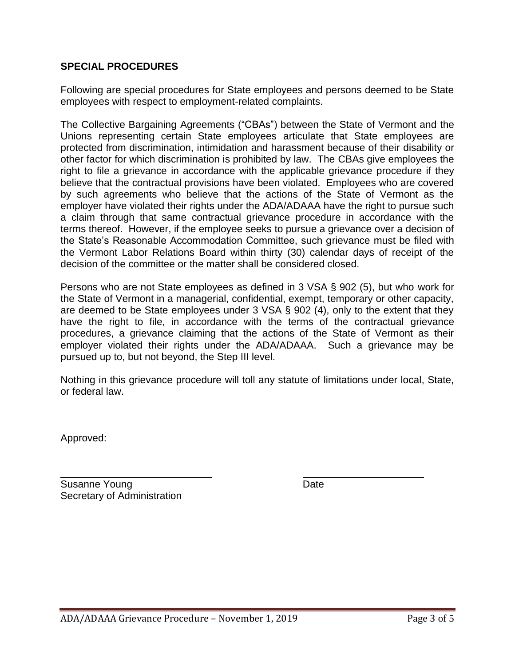# **SPECIAL PROCEDURES**

Following are special procedures for State employees and persons deemed to be State employees with respect to employment-related complaints.

The Collective Bargaining Agreements ("CBAs") between the State of Vermont and the Unions representing certain State employees articulate that State employees are protected from discrimination, intimidation and harassment because of their disability or other factor for which discrimination is prohibited by law. The CBAs give employees the right to file a grievance in accordance with the applicable grievance procedure if they believe that the contractual provisions have been violated. Employees who are covered by such agreements who believe that the actions of the State of Vermont as the employer have violated their rights under the ADA/ADAAA have the right to pursue such a claim through that same contractual grievance procedure in accordance with the terms thereof. However, if the employee seeks to pursue a grievance over a decision of the State's Reasonable Accommodation Committee, such grievance must be filed with the Vermont Labor Relations Board within thirty (30) calendar days of receipt of the decision of the committee or the matter shall be considered closed.

Persons who are not State employees as defined in 3 VSA § 902 (5), but who work for the State of Vermont in a managerial, confidential, exempt, temporary or other capacity, are deemed to be State employees under 3 VSA § 902 (4), only to the extent that they have the right to file, in accordance with the terms of the contractual grievance procedures, a grievance claiming that the actions of the State of Vermont as their employer violated their rights under the ADA/ADAAA. Such a grievance may be pursued up to, but not beyond, the Step III level.

Nothing in this grievance procedure will toll any statute of limitations under local, State, or federal law.

Approved:

Susanne Young Date Date Date Secretary of Administration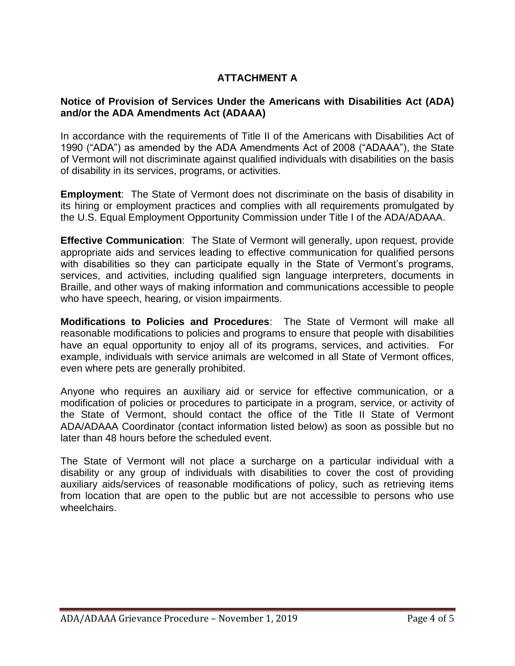# **ATTACHMENT A**

# **Notice of Provision of Services Under the Americans with Disabilities Act (ADA) and/or the ADA Amendments Act (ADAAA)**

In accordance with the requirements of Title II of the Americans with Disabilities Act of 1990 ("ADA") as amended by the ADA Amendments Act of 2008 ("ADAAA"), the State of Vermont will not discriminate against qualified individuals with disabilities on the basis of disability in its services, programs, or activities.

**Employment**: The State of Vermont does not discriminate on the basis of disability in its hiring or employment practices and complies with all requirements promulgated by the U.S. Equal Employment Opportunity Commission under Title I of the ADA/ADAAA.

**Effective Communication**: The State of Vermont will generally, upon request, provide appropriate aids and services leading to effective communication for qualified persons with disabilities so they can participate equally in the State of Vermont's programs, services, and activities, including qualified sign language interpreters, documents in Braille, and other ways of making information and communications accessible to people who have speech, hearing, or vision impairments.

**Modifications to Policies and Procedures**: The State of Vermont will make all reasonable modifications to policies and programs to ensure that people with disabilities have an equal opportunity to enjoy all of its programs, services, and activities. For example, individuals with service animals are welcomed in all State of Vermont offices, even where pets are generally prohibited.

Anyone who requires an auxiliary aid or service for effective communication, or a modification of policies or procedures to participate in a program, service, or activity of the State of Vermont, should contact the office of the Title II State of Vermont ADA/ADAAA Coordinator (contact information listed below) as soon as possible but no later than 48 hours before the scheduled event.

The State of Vermont will not place a surcharge on a particular individual with a disability or any group of individuals with disabilities to cover the cost of providing auxiliary aids/services of reasonable modifications of policy, such as retrieving items from location that are open to the public but are not accessible to persons who use wheelchairs.